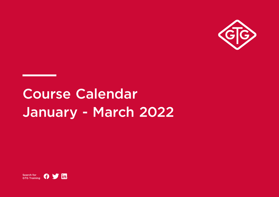

# Course Calendar January - March 2022

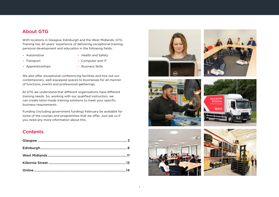#### About GTG

With locations in Glasgow, Edinburgh and the West Midlands, GTG Training has 40 years' experience of delivering exceptional training, personal development and education in the following fields:

**•** Automotive

**•** Health and Safety

**•** Transport

**•** Computer and IT

**•** Apprenticeships

**•** Business Skills

We also offer exceptional conferencing facilities and hire out our contemporary, well-equipped spaces to businesses for all manner of functions, events and professional gatherings.

At GTG we understand that different organisations have different training needs. So, working with our qualified instructors, we can create tailor-made training solutions to meet your specific business requirements.

Funding (including government funding) February be available for some of the courses and programmes that we offer. Just ask us if you need any more information about this.

#### **Contents**











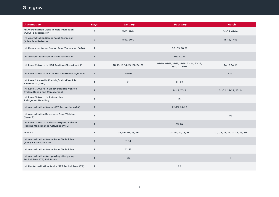<span id="page-2-0"></span>

| <b>Automotive</b>                                                                    | <b>Days</b>    | <b>January</b>             | <b>February</b>                                           | <b>March</b>                   |
|--------------------------------------------------------------------------------------|----------------|----------------------------|-----------------------------------------------------------|--------------------------------|
| MI Accreditation Light Vehicle Inspection<br>(ATA) Familiarisation                   | 3              | $11-13, 11-14$             |                                                           | 01-03, 01-04                   |
| <b>IMI Accreditation Senior Paint Technician</b><br>(ATA) Familiarisation            | $\overline{2}$ | 18-19, 20-21               |                                                           | 15-16, 17-18                   |
| IMI Re-accreditation Senior Paint Technician (ATA)                                   | $\mathbf{1}$   |                            | 08, 09, 10, 11                                            |                                |
| <b>IMI Accreditation Senior Paint Technician</b>                                     | $\mathbf{1}$   |                            | 09, 10, 11                                                |                                |
| IMI Level 2 Award in MOT Testing (Class 4 and 7)                                     | 4              | 10-13, 10-14, 24-27, 24-28 | 07-10, 07-11, 14-17, 14-18, 21-24, 21-25,<br>28-03, 28-04 | 14-17, 14-18                   |
| IMI Level 3 Award in MOT Test Centre Management                                      | $\overline{2}$ | $25 - 26$                  |                                                           | $10 - 11$                      |
| IMI Level 1 Award in Electric/Hybrid Vehicle<br>Awareness (VRQ)                      | $\mathbf{1}$   | 31                         | 01, 02                                                    |                                |
| IMI Level 3 Award in Electric/Hybrid Vehicle<br><b>System Repair and Replacement</b> | $\overline{2}$ |                            | 14-15, 17-18                                              | 01-02, 22-22, 23-24            |
| <b>IMI Level 3 Award in Automotive</b><br><b>Refrigerant Handling</b>                | $\mathbf{1}$   |                            | 16                                                        |                                |
| IMI Accreditation Senior MET Technician (ATA)                                        | $\overline{2}$ |                            | 22-23, 24-25                                              |                                |
| <b>IMI Accreditation Resistance Spot Welding</b><br>(Level 2)                        | $\mathbf{1}$   |                            |                                                           | 09                             |
| IMI Level 2 Award in Electric/Hybrid Vehicle<br>Routine Maintenance Activities (VRQ) | $\mathbf{1}$   |                            | 03, 04                                                    |                                |
| <b>MOT CPD</b>                                                                       | $\mathbf{1}$   | 03, 06, 07, 25, 26         | 03, 04, 14, 15, 28                                        | 07, 08, 14, 15, 21, 22, 29, 30 |
| IMI Accreditation Senior Panel Technician<br>(ATA) + Familiarisation                 | 4              | $11 - 14$                  |                                                           |                                |
| <b>IMI Accreditation Senior Panel Technician</b>                                     | $\mathbf{1}$   | 12, 13                     |                                                           |                                |
| IMI Accreditation Autoglazing - Bodyshop<br>Technician (ATA) Full Route              | $\mathbf{1}$   | 26                         |                                                           | 11                             |
| IMI Re-Accreditation Senior MET Technician (ATA)                                     | $\mathbf{1}$   |                            | 22                                                        |                                |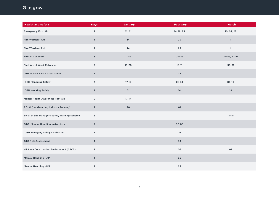# Glasgow

| <b>Health and Safety</b>                           | <b>Days</b>    | <b>January</b> | <b>February</b> | <b>March</b> |
|----------------------------------------------------|----------------|----------------|-----------------|--------------|
| <b>Emergency First Aid</b>                         | $\mathbf{1}$   | 12, 21         | 14, 18, 25      | 10, 24, 28   |
| Fire Warden - AM                                   | $\mathbf{1}$   | 14             | 23              | $11\,$       |
| Fire Warden - PM                                   | $\mathbf{1}$   | 14             | 23              | $11\,$       |
| First Aid at Work                                  | $\overline{3}$ | $17-19$        | 07-09           | 07-09, 22-24 |
| First Aid at Work Refresher                        | $\overline{2}$ | $19 - 20$      | $10 - 11$       | $30 - 31$    |
| GTG - COSHH Risk Assessment                        | $\mathbf{1}$   |                | 28              |              |
| <b>IOSH Managing Safely</b>                        | $\overline{3}$ | $17-19$        | $01 - 03$       | 08-10        |
| IOSH Working Safely                                | $\mathbf{1}$   | 31             | 14              | 18           |
| Mental Health Awareness First Aid                  | $\overline{2}$ | $13 - 14$      |                 |              |
| ROLO (Landscaping Industry Training)               | $\mathbf{1}$   | 20             | $\mathsf{O}1$   |              |
| <b>SMSTS- Site Managers Safety Training Scheme</b> | 5              |                |                 | $14 - 18$    |
| GTG- Manual Handling Instructors                   | $\overline{2}$ |                | $02 - 03$       |              |
| IOSH Managing Safely - Refresher                   | $\mathbf{1}$   |                | 03              |              |
| <b>GTG Risk Assessment</b>                         | $\mathbf{1}$   |                | 04              |              |
| H&S in a Construction Environment (CSCS)           | $\mathbf{1}$   |                | 07              | 07           |
| Manual Handling - AM                               | $\mathbf{1}$   |                | 25              |              |
| Manual Handling - PM                               | $\mathbf{1}$   |                | $25\,$          |              |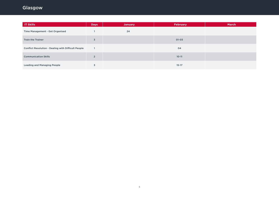# Glasgow

| <b>IT Skills</b>                                           | <b>Days</b>    | <b>January</b> | <b>February</b> | <b>March</b> |
|------------------------------------------------------------|----------------|----------------|-----------------|--------------|
| Time Management - Get Organised                            |                | 24             |                 |              |
| <b>Train the Trainer</b>                                   | 3              |                | $01 - 03$       |              |
| <b>Conflict Resolution - Dealing with Difficult People</b> |                |                | 04              |              |
| <b>Communication Skills</b>                                | $\overline{2}$ |                | $10 - 11$       |              |
| <b>Leading and Managing People</b>                         | 3              |                | $15 - 17$       |              |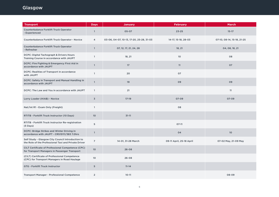| <b>Transport</b>                                                                                          | <b>Days</b>    | <b>January</b>                           | <b>February</b>          | <b>March</b>               |
|-----------------------------------------------------------------------------------------------------------|----------------|------------------------------------------|--------------------------|----------------------------|
| <b>Counterbalance Forklift Truck Operator</b><br>- Experienced                                            | $\mathbf{1}$   | $05 - 07$                                | $23 - 25$                | $15 - 17$                  |
| Counterbalance Forklift Truck Operator - Novice                                                           | $\overline{4}$ | 03-06, 04-07, 10-13, 17-20, 25-28, 31-03 | 14-17, 15-18, 28-03      | 07-10, 08-14, 15-18, 21-25 |
| Counterbalance Forklift Truck Operator<br>- Refresher                                                     | $\mathbf{1}$   | 07, 12, 17, 21, 24, 28                   | 18, 21                   | 04, 08, 18, 21             |
| DCPC: Digital Tachograph & Drivers Hours<br>Training Course in accordance with JAUPT                      | $\mathbf{1}$   | 18, 21                                   | 10                       | 08                         |
| DCPC: Fire Fighting & Emergency First Aid in<br>accordance with JAUPT                                     | $\overline{1}$ | 17                                       | 11                       | 07                         |
| DCPC: Realities of Transport in accordance<br>with JAUPT                                                  | $\mathbf{1}$   | 20                                       | 07                       |                            |
| DCPC: Safety in Transport and Manual Handling in<br>accordance with JAUPT                                 | $\mathbf{1}$   | 19                                       | 09                       | 09                         |
| DCPC: The Law and You in accordance with JAUPT                                                            | $\mathbf{1}$   | 21                                       |                          | 11                         |
| Lorry Loader (HIAB) - Novice                                                                              | $\overline{3}$ | $17-19$                                  | $07 - 09$                | $07 - 09$                  |
| Nat/Int R1 - Exam Only (Freight)                                                                          | $\mathbf{1}$   |                                          | 08                       |                            |
| RTITB - Forklift Truck Instructor (10 Days)                                                               | 10             | $31 - 11$                                |                          |                            |
| RTITB - Forklift Truck Instructor Re-registration<br>(5 Days)                                             | 5              |                                          | $07-11$                  |                            |
| DCPC: Bridge Strikes and Winter Driving in<br>accordance with JAUPT - CRS15111/383 7.0hrs                 | $\mathbf{1}$   |                                          | 04                       | 10                         |
| Self Study - Glasgow City Council Introduction to<br>the Role of the Professional Taxi and Private Driver | $\overline{7}$ | 14-01, 31-28 March                       | 09-11 April, 25-18 April | 07-02 May, 21-09 May       |
| CILT Certificate of Professional Competence (CPC)<br>for Transport Managers in Passenger Transport        | 10             | $26 - 08$                                |                          |                            |
| (CILT) Certificate of Professional Competence<br>(CPC) for Transport Managers in Road Haulage             | 10             | $26 - 08$                                |                          |                            |
| <b>GTG - Forklift Truck Instructor</b>                                                                    | 5              | $11 - 14$                                |                          |                            |
| <b>Transport Manager - Professional Competence</b>                                                        | $\overline{2}$ | $10 - 11$                                |                          | 08-09                      |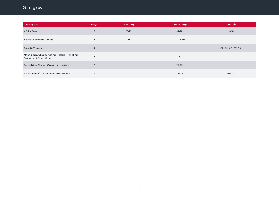# Glasgow

| <b>Transport</b>                                                          | <b>Days</b> | <b>January</b> | <b>February</b> | <b>March</b>       |
|---------------------------------------------------------------------------|-------------|----------------|-----------------|--------------------|
| ADR - Core                                                                | 5           | $17 - 21$      | $14 - 18$       | $14 - 18$          |
| <b>Abrasive Wheels Course</b>                                             |             | 20             | 03, 28-04       |                    |
| <b>PASMA Towers</b>                                                       |             |                |                 | 01, 02, 03, 07, 08 |
| Managing and Supervising Material Handling<br><b>Equipment Operations</b> |             |                | 14              |                    |
| Pedestrian Stacker Operator - Novice                                      | 3           |                | $21 - 23$       |                    |
| Reach Forklift Truck Operator - Novice                                    | 4           |                | $22 - 25$       | $01 - 04$          |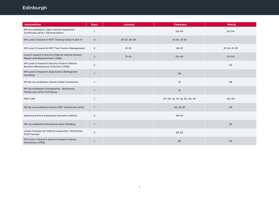# <span id="page-7-0"></span>Edinburgh

| <b>Automotive</b>                                                                    | <b>Days</b>    | <b>January</b> | <b>February</b>                | <b>March</b> |
|--------------------------------------------------------------------------------------|----------------|----------------|--------------------------------|--------------|
| IMI Accreditation Light Vehicle Inspection<br>Technician (ATA) Familiarisation       | $\mathbf{1}$   |                | $02 - 04$                      | $02 - 04$    |
| IMI Level 2 Award in MOT Testing (Class 4 and 7)                                     | 4              | 24-27, 24-28   | 21-24, 21-25                   |              |
| IMI Level 3 Award in MOT Test Centre Management                                      | $\overline{2}$ | $31 - 01$      | $28 - 01$                      | 21-24, 21-25 |
| Level 3 Award in Electric/Hybrid Vehicle System<br>Repair and Replacement (VRQ)      | $\overline{2}$ | $31 - 01$      | $03 - 04$                      | $03 - 04$    |
| IMI Level 2 Award in Electric/Hybrid Vehicle<br>Routine Maintenance Activities (VRQ) | $\overline{2}$ |                |                                | 03           |
| IMI Level 3 Award in Automotive Refrigerant<br>Handling                              | $\mathbf{1}$   |                | 09                             |              |
| <b>IMI Re-Accreditation Senior Panel Technician</b>                                  | $\mathbf{1}$   |                | 15                             | 29           |
| IMI Accreditation Autoglazing - Bodyshop<br>Technician (ATA) Full Route              | $\mathbf{1}$   |                | 14                             |              |
| MOT CPD                                                                              | $\mathbf{1}$   |                | 07, 08, 10, 16, 18, 23, 24, 25 | 02,03        |
| IMI Re-Accreditation Senior MET Technician (ATA)                                     | $\overline{1}$ |                | 02, 16-18                      | 04           |
| Advanced Drive Assistance Systems (ADAS)                                             | $\overline{2}$ |                | 09-10                          |              |
| <b>IMI Accreditation Resistance Spot Welding</b>                                     | $\mathbf{1}$   |                |                                | 30           |
| Large Commercial Vehicle Inspection Technician<br>(Full Course)                      | 3              |                | $28 - 02$                      |              |
| IMI Level 1 Award in Electric/Hybrid Vehicle<br>Awareness (VRQ)                      | $\mathbf{1}$   |                | 03                             | 03           |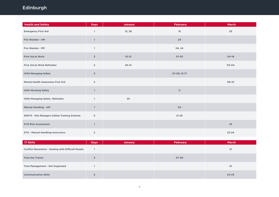# Edinburgh

| <b>Health and Safety</b>                     | <b>Days</b>    | <b>January</b> | <b>February</b> | <b>March</b> |
|----------------------------------------------|----------------|----------------|-----------------|--------------|
| <b>Emergency First Aid</b>                   | $\mathbf{1}$   | 13, 28         | 15              | $25\,$       |
| Fire Warden - AM                             | $\mathbf{1}$   |                | 24              |              |
| Fire Warden - PM                             | $\mathbf{1}$   |                | 04, 24          |              |
| First Aid at Work                            | $\mathbf 3$    | $10 - 12$      | $01 - 03$       | $04-18$      |
| First Aid at Work Refresher                  | $\overline{2}$ | $20 - 21$      |                 | 03-04        |
| <b>IOSH Managing Safely</b>                  | $\overline{3}$ |                | 07-09, 15-17    |              |
| Mental Health Awareness First Aid            | $\overline{2}$ |                |                 | 09-10        |
| <b>IOSH Working Safely</b>                   | $\mathbf{1}$   |                | 11              |              |
| IOSH Managing Safely-Refresher               | $\mathbf{1}$   | 25             |                 |              |
| Manual Handling - AM                         | $\mathbf{1}$   |                | 04              |              |
| SMSTS - Site Managers Safety Training Scheme | 5              |                | $21 - 25$       |              |
| <b>GTG Risk Assessment</b>                   | $\mathbf{1}$   |                |                 | 23           |
| <b>GTG - Manual Handling Instructors</b>     | $\overline{2}$ |                |                 | $23 - 24$    |

| <b>IT Skills</b>                                           | <b>Days</b> | <b>January</b> | February | <b>March</b> |
|------------------------------------------------------------|-------------|----------------|----------|--------------|
| <b>Conflict Resolution - Dealing with Difficult People</b> |             |                |          | 21           |
| <b>Train the Trainer</b>                                   | 3           |                | 07-09    |              |
| Time Management - Get Organised                            |             |                |          | 01           |
| <b>Communication Skills</b>                                | $\sim$      |                |          | $24 - 25$    |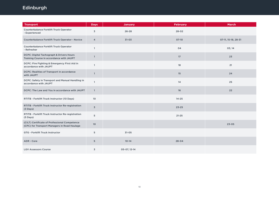# Edinburgh

| <b>Transport</b>                                                                              | <b>Days</b>     | <b>January</b> | <b>February</b> | <b>March</b>        |
|-----------------------------------------------------------------------------------------------|-----------------|----------------|-----------------|---------------------|
| Counterbalance Forklift Truck Operator<br>- Experienced                                       | 3               | $26 - 28$      | $28 - 02$       |                     |
| Counterbalance Forklift Truck Operator - Novice                                               | $\overline{4}$  | $31 - 03$      | 07-10           | 07-11, 15-18, 28-31 |
| Counterbalance Forklift Truck Operator<br>- Refresher                                         | $\mathbf{1}$    |                | 04              | 03, 14              |
| DCPC: Digital Tachograph & Drivers Hours<br>Training Course in accordance with JAUPT          | $\mathbf{1}$    |                | 17              | 23                  |
| DCPC: Fire Fighting & Emergency First Aid in<br>accordance with JAUPT                         | $\mathbf{1}$    |                | 18              | 21                  |
| DCPC: Realities of Transport in accordance<br>with JAUPT                                      | $\mathbf{1}$    |                | 15              | 24                  |
| DCPC: Safety in Transport and Manual Handling in<br>accordance with JAUPT                     | $\mathbf{1}$    |                | 14              | 25                  |
| DCPC: The Law and You in accordance with JAUPT                                                | $\mathbf{1}$    |                | 16              | 22                  |
| RTITB - Forklift Truck Instructor (10 Days)                                                   | 10              |                | $14 - 25$       |                     |
| RTITB - Forklift Truck Instructor Re-registration<br>$(3$ Days)                               | $\overline{3}$  |                | $23 - 25$       |                     |
| RTITB - Forklift Truck Instructor Re-registration<br>$(5 \text{ Days})$                       | 5               |                | $21 - 25$       |                     |
| (CILT) Certificate of Professional Competence<br>(CPC) for Transport Managers in Road Haulage | 10 <sup>°</sup> |                |                 | $23 - 05$           |
| <b>GTG - Forklift Truck Instructor</b>                                                        | 5               | $31 - 05$      |                 |                     |
| ADR - Core                                                                                    | 5               | $10 - 14$      | $28 - 04$       |                     |
| <b>LGV Assessors Course</b>                                                                   | 3               | 05-07, 12-14   |                 |                     |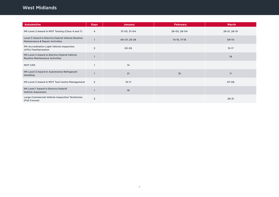### <span id="page-10-0"></span>West Midlands

| <b>Automotive</b>                                                                              | <b>Days</b>    | <b>January</b> | <b>February</b> | <b>March</b> |
|------------------------------------------------------------------------------------------------|----------------|----------------|-----------------|--------------|
| IMI Level 2 Award in MOT Testing (Class 4 and 7)                                               | 4              | 31-03, 31-04   | 28-03, 28-04    | 28-21, 28-01 |
| Level 3 Award in Electric/Hybrid Vehicle Routine<br><b>Maintenance &amp; Repair Activities</b> |                | 06-07, 25-26   | 14-15, 17-18    | 09-10        |
| IMI Accreditation Light Vehicle Inspection<br>(ATA) Familiarisation                            | 3              | 03-05          |                 | $15 - 17$    |
| IMI Level 2 Award in Electric/Hybrid Vehicle<br><b>Routine Maintenance Activities</b>          |                |                |                 | 18           |
| MOT CPD                                                                                        |                | 14             |                 |              |
| IMI Level 3 Award in Automotive Refrigerant<br>Handling                                        |                | 21             | 16              | 11           |
| IMI Level 3 Award in MOT Test Centre Management                                                | $\overline{2}$ | $10 - 11$      |                 | 07-08        |
| IMI Level 1 Award in Electric/Hybrid<br><b>Vehicle Awareness</b>                               |                | 19             |                 |              |
| Large Commercial Vehicle Inspection Technician<br>(Full Course)                                | 3              |                |                 | $29 - 31$    |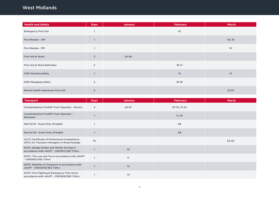### West Midlands

| <b>Health and Safety</b>          | <b>Days</b>    | <b>January</b> | <b>February</b> | <b>March</b> |
|-----------------------------------|----------------|----------------|-----------------|--------------|
| <b>Emergency First Aid</b>        |                |                | 01              |              |
| Fire Warden - AM                  |                |                |                 | 03, 18       |
| Fire Warden - PM                  |                |                |                 | 01           |
| First Aid at Work                 | $\overline{3}$ | $24 - 26$      |                 |              |
| First Aid at Work Refresher       | $\overline{2}$ |                | $16 - 17$       |              |
| <b>IOSH Working Safely</b>        |                |                | 15              | 14           |
| <b>IOSH Managing Safely</b>       | 3              |                | $16 - 18$       |              |
| Mental Health Awareness First Aid | $\overline{2}$ |                |                 | $22 - 23$    |

| <b>Transport</b>                                                                              | <b>Days</b> | <b>January</b>  | <b>February</b> | <b>March</b> |
|-----------------------------------------------------------------------------------------------|-------------|-----------------|-----------------|--------------|
| Counterbalance Forklift Truck Operator - Novice                                               | 4           | $24 - 27$       | 07-10, 21-24    |              |
| Counterbalance Forklift Truck Operator -<br>Refresher                                         |             |                 | 11, 25          |              |
| Nat/Int R1 - Exam Only (Freight)                                                              |             |                 | 08              |              |
| Nat/Int R2 - Exam Only (Freight)                                                              |             |                 | 08              |              |
| (CILT) Certificate of Professional Competence<br>(CPC) for Transport Managers in Road Haulage | 10          |                 |                 | $23 - 05$    |
| DCPC: Bridge Strikes and Winter Driving in<br>accordance with JAUPT - CRS15111/383 7.0hrs     |             | 10 <sup>°</sup> |                 |              |
| DCPC: The Law and You in accordance with JAUPT<br>- CRS5850/383 7.0hrs                        |             | 11              |                 |              |
| DCPC: Realities of Transport in accordance with<br>JAUPT - CRS10019/383 7.0hrs                |             | 13              |                 |              |
| DCPC: Fire Fighting & Emergency First Aid in<br>accordance with JAUPT - CRS1909/383 7.0hrs    |             | 14              |                 |              |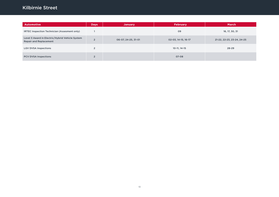# <span id="page-12-0"></span>Kilbirnie Street

| <b>Automotive</b>                                                                | Days           | <b>January</b>      | <b>February</b>     | <b>March</b>               |
|----------------------------------------------------------------------------------|----------------|---------------------|---------------------|----------------------------|
| IRTEC Inspection Technician (Assesment only)                                     |                |                     | 09                  | 16, 17, 30, 31             |
| Level 3 Award in Electric/Hybrid Vehicle System<br><b>Repair and Replacement</b> | $\overline{2}$ | 06-07, 24-25, 31-01 | 02-03, 14-15, 16-17 | 21-22, 22-23, 23-24, 24-25 |
| <b>LGV DVSA Inspections</b>                                                      | ຳ              |                     | 10-11, 14-15        | 28-29                      |
| <b>PCV DVSA Inspections</b>                                                      | $\Omega$       |                     | 07-08               |                            |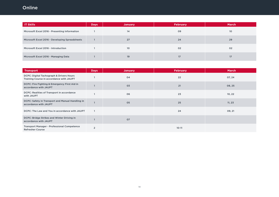# <span id="page-13-0"></span>Online

| <b>IT Skills</b>                               | <b>Days</b> | <b>January</b>  | <b>February</b> | <b>March</b>    |
|------------------------------------------------|-------------|-----------------|-----------------|-----------------|
| Microsoft Excel 2016 - Presenting Information  |             | 14              | 09              | 10 <sup>°</sup> |
| Microsoft Excel 2016 - Developing Spreadsheets |             | 27              | 24              | 29              |
| Microsoft Excel 2016 - Introduction            |             | 10 <sup>°</sup> | 02              | 02              |
| Microsoft Excel 2016 - Managing Data           |             | 19              | 17              | 17 <sup>5</sup> |

| <b>Transport</b>                                                                     | <b>Days</b>    | <b>January</b> | <b>February</b> | <b>March</b> |
|--------------------------------------------------------------------------------------|----------------|----------------|-----------------|--------------|
| DCPC: Digital Tachograph & Drivers Hours<br>Training Course in accordance with JAUPT |                | 04             | 22              | 07, 24       |
| DCPC: Fire Fighting & Emergency First Aid in<br>accordance with JAUPT                |                | 03             | 21              | 08, 25       |
| DCPC: Realities of Transport in accordance<br>with JAUPT                             |                | 06             | 23              | 10, 22       |
| DCPC: Safety in Transport and Manual Handling in<br>accordance with JAUPT            |                | 05             | 25              | 11, 23       |
| DCPC: The Law and You in accordance with JAUPT                                       |                |                | 24              | 09, 21       |
| DCPC: Bridge Strikes and Winter Driving in<br>accordance with JAUPT                  |                | 07             |                 |              |
| <b>Transport Manager - Professional Competence</b><br><b>Refresher Course</b>        | $\overline{2}$ |                | $10 - 11$       |              |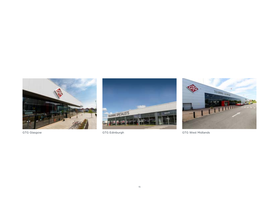





GTG Glasgow GTG Edinburgh GTG Edinburgh GTG Mest Midlands